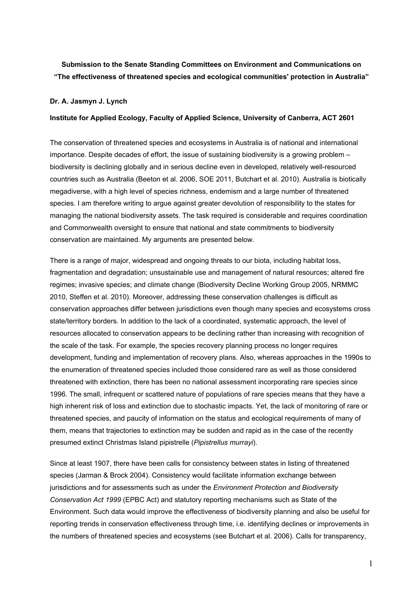## **Submission to the Senate Standing Committees on Environment and Communications on "The effectiveness of threatened species and ecological communities' protection in Australia"**

## **Dr. A. Jasmyn J. Lynch**

## **Institute for Applied Ecology, Faculty of Applied Science, University of Canberra, ACT 2601**

The conservation of threatened species and ecosystems in Australia is of national and international importance. Despite decades of effort, the issue of sustaining biodiversity is a growing problem – biodiversity is declining globally and in serious decline even in developed, relatively well-resourced countries such as Australia (Beeton et al. 2006, SOE 2011, Butchart et al. 2010). Australia is biotically megadiverse, with a high level of species richness, endemism and a large number of threatened species. I am therefore writing to argue against greater devolution of responsibility to the states for managing the national biodiversity assets. The task required is considerable and requires coordination and Commonwealth oversight to ensure that national and state commitments to biodiversity conservation are maintained. My arguments are presented below.

There is a range of major, widespread and ongoing threats to our biota, including habitat loss, fragmentation and degradation; unsustainable use and management of natural resources; altered fire regimes; invasive species; and climate change (Biodiversity Decline Working Group 2005, NRMMC 2010, Steffen et al. 2010). Moreover, addressing these conservation challenges is difficult as conservation approaches differ between jurisdictions even though many species and ecosystems cross state/territory borders. In addition to the lack of a coordinated, systematic approach, the level of resources allocated to conservation appears to be declining rather than increasing with recognition of the scale of the task. For example, the species recovery planning process no longer requires development, funding and implementation of recovery plans. Also, whereas approaches in the 1990s to the enumeration of threatened species included those considered rare as well as those considered threatened with extinction, there has been no national assessment incorporating rare species since 1996. The small, infrequent or scattered nature of populations of rare species means that they have a high inherent risk of loss and extinction due to stochastic impacts. Yet, the lack of monitoring of rare or threatened species, and paucity of information on the status and ecological requirements of many of them, means that trajectories to extinction may be sudden and rapid as in the case of the recently presumed extinct Christmas Island pipistrelle (*Pipistrellus murrayi*).

Since at least 1907, there have been calls for consistency between states in listing of threatened species (Jarman & Brock 2004). Consistency would facilitate information exchange between jurisdictions and for assessments such as under the *Environment Protection and Biodiversity Conservation Act 1999* (EPBC Act) and statutory reporting mechanisms such as State of the Environment. Such data would improve the effectiveness of biodiversity planning and also be useful for reporting trends in conservation effectiveness through time, i.e. identifying declines or improvements in the numbers of threatened species and ecosystems (see Butchart et al. 2006). Calls for transparency,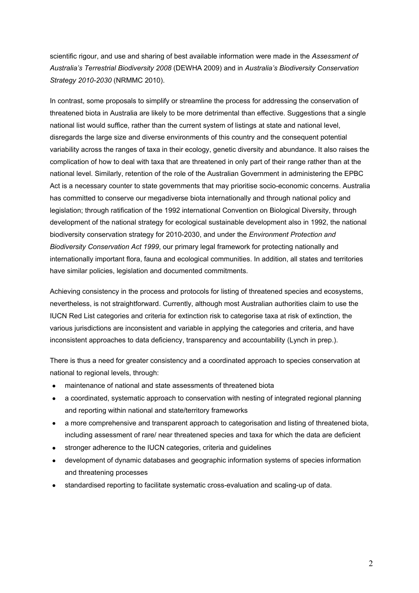scientific rigour, and use and sharing of best available information were made in the *Assessment of Australia's Terrestrial Biodiversity 2008* (DEWHA 2009) and in *Australia's Biodiversity Conservation Strategy 2010-2030* (NRMMC 2010).

In contrast, some proposals to simplify or streamline the process for addressing the conservation of threatened biota in Australia are likely to be more detrimental than effective. Suggestions that a single national list would suffice, rather than the current system of listings at state and national level, disregards the large size and diverse environments of this country and the consequent potential variability across the ranges of taxa in their ecology, genetic diversity and abundance. It also raises the complication of how to deal with taxa that are threatened in only part of their range rather than at the national level. Similarly, retention of the role of the Australian Government in administering the EPBC Act is a necessary counter to state governments that may prioritise socio-economic concerns. Australia has committed to conserve our megadiverse biota internationally and through national policy and legislation; through ratification of the 1992 international Convention on Biological Diversity, through development of the national strategy for ecological sustainable development also in 1992, the national biodiversity conservation strategy for 2010-2030, and under the *Environment Protection and Biodiversity Conservation Act 1999*, our primary legal framework for protecting nationally and internationally important flora, fauna and ecological communities. In addition, all states and territories have similar policies, legislation and documented commitments.

Achieving consistency in the process and protocols for listing of threatened species and ecosystems, nevertheless, is not straightforward. Currently, although most Australian authorities claim to use the IUCN Red List categories and criteria for extinction risk to categorise taxa at risk of extinction, the various jurisdictions are inconsistent and variable in applying the categories and criteria, and have inconsistent approaches to data deficiency, transparency and accountability (Lynch in prep.).

There is thus a need for greater consistency and a coordinated approach to species conservation at national to regional levels, through:

- maintenance of national and state assessments of threatened biota
- a coordinated, systematic approach to conservation with nesting of integrated regional planning and reporting within national and state/territory frameworks
- a more comprehensive and transparent approach to categorisation and listing of threatened biota, including assessment of rare/ near threatened species and taxa for which the data are deficient
- stronger adherence to the IUCN categories, criteria and guidelines
- development of dynamic databases and geographic information systems of species information and threatening processes
- standardised reporting to facilitate systematic cross-evaluation and scaling-up of data.